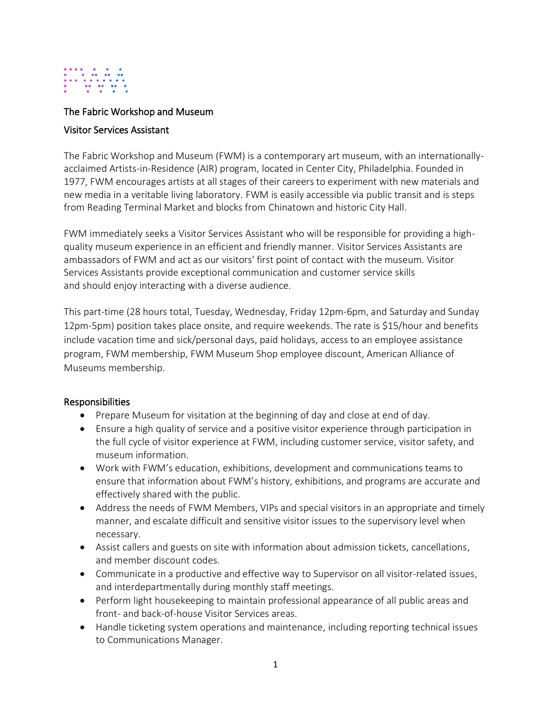

## The Fabric Workshop and Museum

### Visitor Services Assistant

The Fabric Workshop and Museum (FWM) is a contemporary art museum, with an internationallyacclaimed Artists-in-Residence (AIR) program, located in Center City, Philadelphia. Founded in 1977, FWM encourages artists at all stages of their careers to experiment with new materials and new media in a veritable living laboratory. FWM is easily accessible via public transit and is steps from Reading Terminal Market and blocks from Chinatown and historic City Hall.

FWM immediately seeks a Visitor Services Assistant who will be responsible for providing a highquality museum experience in an efficient and friendly manner. Visitor Services Assistants are ambassadors of FWM and act as our visitors' first point of contact with the museum. Visitor Services Assistants provide exceptional communication and customer service skills and should enjoy interacting with a diverse audience.

This part-time (28 hours total, Tuesday, Wednesday, Friday 12pm-6pm, and Saturday and Sunday 12pm-5pm) position takes place onsite, and require weekends. The rate is \$15/hour and benefits include vacation time and sick/personal days, paid holidays, access to an employee assistance program, FWM membership, FWM Museum Shop employee discount, American Alliance of Museums membership.

### Responsibilities

- Prepare Museum for visitation at the beginning of day and close at end of day.
- Ensure a high quality of service and a positive visitor experience through participation in the full cycle of visitor experience at FWM, including customer service, visitor safety, and museum information.
- Work with FWM's education, exhibitions, development and communications teams to ensure that information about FWM's history, exhibitions, and programs are accurate and effectively shared with the public.
- Address the needs of FWM Members, VIPs and special visitors in an appropriate and timely manner, and escalate difficult and sensitive visitor issues to the supervisory level when necessary.
- Assist callers and guests on site with information about admission tickets, cancellations, and member discount codes.
- Communicate in a productive and effective way to Supervisor on all visitor-related issues, and interdepartmentally during monthly staff meetings.
- Perform light housekeeping to maintain professional appearance of all public areas and front- and back-of-house Visitor Services areas.
- Handle ticketing system operations and maintenance, including reporting technical issues to Communications Manager.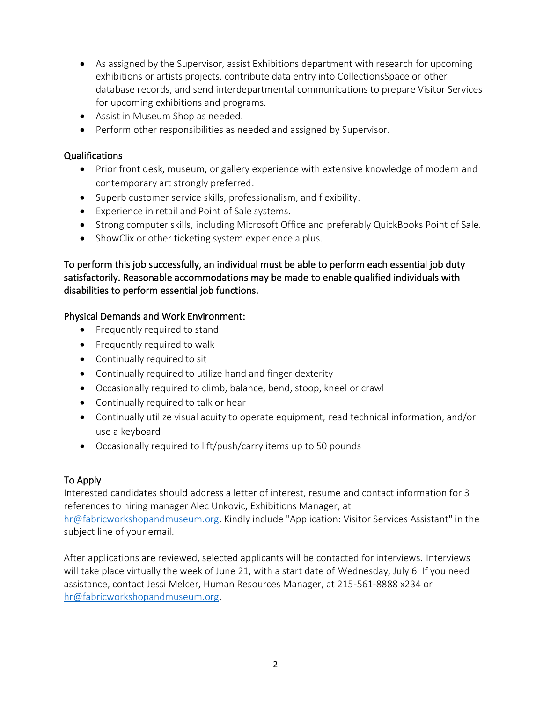- As assigned by the Supervisor, assist Exhibitions department with research for upcoming exhibitions or artists projects, contribute data entry into CollectionsSpace or other database records, and send interdepartmental communications to prepare Visitor Services for upcoming exhibitions and programs.
- Assist in Museum Shop as needed.
- Perform other responsibilities as needed and assigned by Supervisor.

## Qualifications

- Prior front desk, museum, or gallery experience with extensive knowledge of modern and contemporary art strongly preferred.
- Superb customer service skills, professionalism, and flexibility.
- Experience in retail and Point of Sale systems.
- Strong computer skills, including Microsoft Office and preferably QuickBooks Point of Sale.
- ShowClix or other ticketing system experience a plus.

# To perform this job successfully, an individual must be able to perform each essential job duty satisfactorily. Reasonable accommodations may be made to enable qualified individuals with disabilities to perform essential job functions.

# Physical Demands and Work Environment:

- Frequently required to stand
- Frequently required to walk
- Continually required to sit
- Continually required to utilize hand and finger dexterity
- Occasionally required to climb, balance, bend, stoop, kneel or crawl
- Continually required to talk or hear
- Continually utilize visual acuity to operate equipment, read technical information, and/or use a keyboard
- Occasionally required to lift/push/carry items up to 50 pounds

# To Apply

Interested candidates should address a letter of interest, resume and contact information for 3 references to hiring manager Alec Unkovic, Exhibitions Manager, at [hr@fabricworkshopandmuseum.org.](mailto:hr@fabricworkshopandmuseum.org) Kindly include "Application: Visitor Services Assistant" in the subject line of your email.

After applications are reviewed, selected applicants will be contacted for interviews. Interviews will take place virtually the week of June 21, with a start date of Wednesday, July 6. If you need assistance, contact Jessi Melcer, Human Resources Manager, at 215-561-8888 x234 or [hr@fabricworkshopandmuseum.org.](mailto:hr@fabricworkshopandmuseum.org)